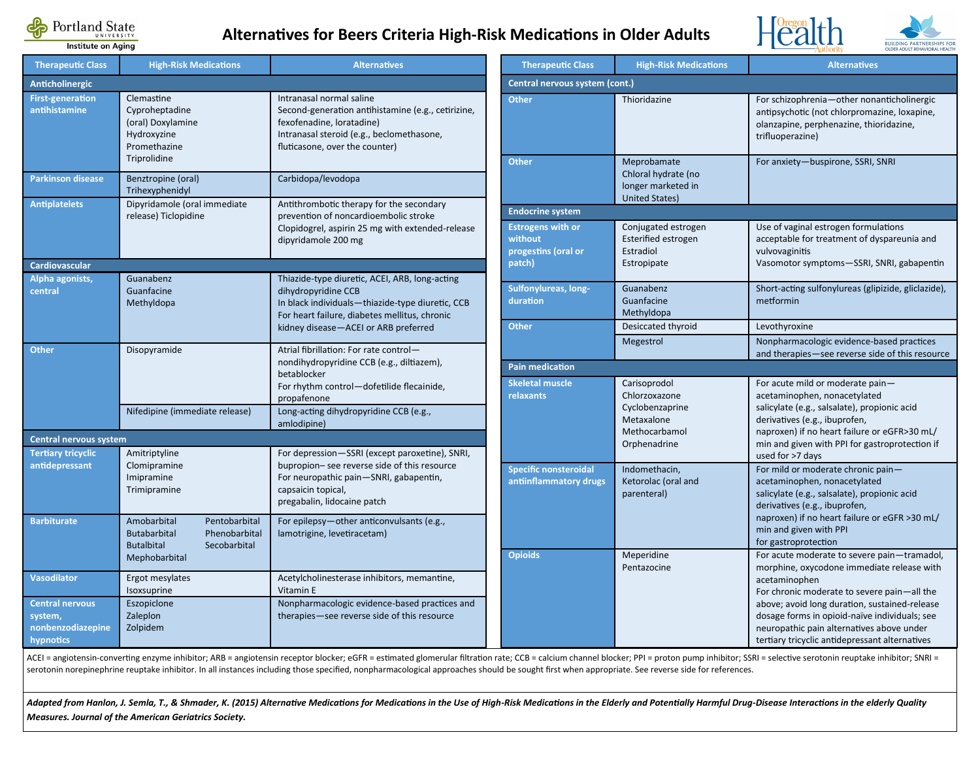

# **Alternatives for Beers Criteria High-Risk Medications in Older Adults**



Short-acting sulfonylureas (glipizide, gliclazide),

and therapies—see reverse side of this resource



| Institute on Aging                                                  |                                                                                                    |                                                                                                                                                                                                          |                                                                      |                                                                        | uthority<br>OLDER ADULT BEHAVIORAL                                                                                                                                                                                                                                                                                                                      |
|---------------------------------------------------------------------|----------------------------------------------------------------------------------------------------|----------------------------------------------------------------------------------------------------------------------------------------------------------------------------------------------------------|----------------------------------------------------------------------|------------------------------------------------------------------------|---------------------------------------------------------------------------------------------------------------------------------------------------------------------------------------------------------------------------------------------------------------------------------------------------------------------------------------------------------|
| <b>Therapeutic Class</b>                                            | <b>High-Risk Medications</b>                                                                       | <b>Alternatives</b>                                                                                                                                                                                      | <b>Therapeutic Class</b>                                             | <b>High-Risk Medications</b>                                           | <b>Alternatives</b>                                                                                                                                                                                                                                                                                                                                     |
| Anticholinergic                                                     |                                                                                                    |                                                                                                                                                                                                          | Central nervous system (cont.)                                       |                                                                        |                                                                                                                                                                                                                                                                                                                                                         |
| <b>First-generation</b><br>antihistamine                            | Clemastine<br>Cyproheptadine<br>(oral) Doxylamine<br>Hydroxyzine<br>Promethazine                   | Intranasal normal saline<br>Second-generation antihistamine (e.g., cetirizine,<br>fexofenadine, loratadine)<br>Intranasal steroid (e.g., beclomethasone,<br>fluticasone, over the counter)               | <b>Other</b>                                                         | Thioridazine                                                           | For schizophrenia-other nonanticholinergic<br>antipsychotic (not chlorpromazine, loxapine,<br>olanzapine, perphenazine, thioridazine,<br>trifluoperazine)                                                                                                                                                                                               |
| <b>Parkinson disease</b>                                            | Triprolidine<br>Benztropine (oral)<br>Trihexyphenidyl                                              | Carbidopa/levodopa                                                                                                                                                                                       | <b>Other</b>                                                         | Meprobamate<br>Chloral hydrate (no<br>longer marketed in               | For anxiety-buspirone, SSRI, SNRI                                                                                                                                                                                                                                                                                                                       |
| <b>Antiplatelets</b>                                                | Dipyridamole (oral immediate<br>release) Ticlopidine                                               | Antithrombotic therapy for the secondary<br>prevention of noncardioembolic stroke<br>Clopidogrel, aspirin 25 mg with extended-release<br>dipyridamole 200 mg                                             |                                                                      | <b>United States)</b>                                                  |                                                                                                                                                                                                                                                                                                                                                         |
|                                                                     |                                                                                                    |                                                                                                                                                                                                          | <b>Endocrine system</b>                                              |                                                                        |                                                                                                                                                                                                                                                                                                                                                         |
|                                                                     |                                                                                                    |                                                                                                                                                                                                          | <b>Estrogens with or</b><br>without<br>progestins (oral or<br>patch) | Conjugated estrogen<br>Esterified estrogen<br>Estradiol<br>Estropipate | Use of vaginal estrogen formulations<br>acceptable for treatment of dyspareunia and<br>vulvovaginitis<br>Vasomotor symptoms-SSRI, SNRI, gabapent                                                                                                                                                                                                        |
| <b>Cardiovascular</b><br>Alpha agonists,                            | Guanabenz                                                                                          | Thiazide-type diuretic, ACEI, ARB, long-acting                                                                                                                                                           |                                                                      |                                                                        |                                                                                                                                                                                                                                                                                                                                                         |
| central                                                             | Guanfacine<br>Methyldopa                                                                           | dihydropyridine CCB<br>In black individuals-thiazide-type diuretic, CCB<br>For heart failure, diabetes mellitus, chronic<br>kidney disease-ACEI or ARB preferred                                         | <b>Sulfonylureas, long-</b><br>duration                              | Guanabenz<br>Guanfacine<br>Methyldopa                                  | Short-acting sulfonylureas (glipizide, gliclazid<br>metformin                                                                                                                                                                                                                                                                                           |
|                                                                     |                                                                                                    |                                                                                                                                                                                                          | <b>Other</b>                                                         | Desiccated thyroid                                                     | Levothyroxine                                                                                                                                                                                                                                                                                                                                           |
| <b>Other</b>                                                        | Disopyramide                                                                                       | Atrial fibrillation: For rate control-<br>nondihydropyridine CCB (e.g., diltiazem),<br>betablocker<br>For rhythm control-dofetilide flecainide,<br>propafenone<br>Long-acting dihydropyridine CCB (e.g., |                                                                      | Megestrol                                                              | Nonpharmacologic evidence-based practices<br>and therapies-see reverse side of this resou                                                                                                                                                                                                                                                               |
|                                                                     |                                                                                                    |                                                                                                                                                                                                          | <b>Pain medication</b>                                               |                                                                        |                                                                                                                                                                                                                                                                                                                                                         |
|                                                                     | Nifedipine (immediate release)                                                                     |                                                                                                                                                                                                          | <b>Skeletal muscle</b><br>relaxants                                  | Carisoprodol<br>Chlorzoxazone<br>Cyclobenzaprine<br>Metaxalone         | For acute mild or moderate pain-<br>acetaminophen, nonacetylated<br>salicylate (e.g., salsalate), propionic acid<br>derivatives (e.g., ibuprofen,                                                                                                                                                                                                       |
|                                                                     |                                                                                                    | amlodipine)                                                                                                                                                                                              |                                                                      | Methocarbamol                                                          | naproxen) if no heart failure or eGFR>30 mL/                                                                                                                                                                                                                                                                                                            |
| Central nervous system                                              |                                                                                                    |                                                                                                                                                                                                          |                                                                      | Orphenadrine                                                           | min and given with PPI for gastroprotection if                                                                                                                                                                                                                                                                                                          |
| <b>Tertiary tricyclic</b><br>antidepressant                         | Amitriptyline<br>Clomipramine<br>Imipramine<br>Trimipramine                                        | For depression-SSRI (except paroxetine), SNRI,<br>bupropion-see reverse side of this resource<br>For neuropathic pain-SNRI, gabapentin,<br>capsaicin topical,<br>pregabalin, lidocaine patch             | <b>Specific nonsteroidal</b><br>antiinflammatory drugs               | Indomethacin,<br>Ketorolac (oral and<br>parenteral)                    | used for >7 days<br>For mild or moderate chronic pain-<br>acetaminophen, nonacetylated<br>salicylate (e.g., salsalate), propionic acid<br>derivatives (e.g., ibuprofen,                                                                                                                                                                                 |
| <b>Barbiturate</b>                                                  | Amobarbital<br>Pentobarbital<br>Butabarbital<br>Phenobarbital<br><b>Butalbital</b><br>Secobarbital | For epilepsy-other anticonvulsants (e.g.,<br>lamotrigine, levetiracetam)                                                                                                                                 |                                                                      |                                                                        | naproxen) if no heart failure or eGFR >30 mL<br>min and given with PPI<br>for gastroprotection                                                                                                                                                                                                                                                          |
|                                                                     | Mephobarbital                                                                                      |                                                                                                                                                                                                          | <b>Opioids</b>                                                       | Meperidine<br>Pentazocine                                              | For acute moderate to severe pain-tramado<br>morphine, oxycodone immediate release wit<br>acetaminophen<br>For chronic moderate to severe pain-all the<br>above; avoid long duration, sustained-release<br>dosage forms in opioid-naïve individuals; see<br>neuropathic pain alternatives above under<br>tertiary tricyclic antidepressant alternatives |
| <b>Vasodilator</b>                                                  | Ergot mesylates<br>Isoxsuprine                                                                     | Acetylcholinesterase inhibitors, memantine,<br>Vitamin E                                                                                                                                                 |                                                                      |                                                                        |                                                                                                                                                                                                                                                                                                                                                         |
| <b>Central nervous</b><br>system,<br>nonbenzodiazepine<br>hypnotics | Eszopiclone<br>Zaleplon<br>Zolpidem                                                                | Nonpharmacologic evidence-based practices and<br>therapies-see reverse side of this resource                                                                                                             |                                                                      |                                                                        |                                                                                                                                                                                                                                                                                                                                                         |

Adapted from Hanlon, J. Semla, T., & Shmader, K. (2015) Alternative Medications for Medications in the Use of High-Risk Medications in the Elderly and Potentially Harmful Drug-Disease Interactions in the elderly Quality *Measures. Journal of the American Geriatrics Society.*